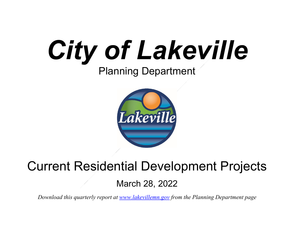



# Current Residential Development Projects

March 28, 2022

*Download this quarterly report at [www.lakevillemn.gov](http://www.lakevillemn.gov/) from the Planning Department page*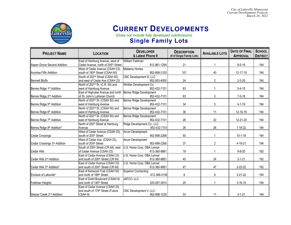*City of Lakeville Minnesota Current Development Projects March 28, 2022*



### **CURRENT DEVELOPMENTS**

 *(Does not include fully developed subdivisions)*

|  |  |  |  |  | <b>Single Family Lots</b> |
|--|--|--|--|--|---------------------------|
|--|--|--|--|--|---------------------------|

| <b>PROJECT NAME</b>                    | <b>LOCATION</b>                                 | <b>DEVELOPER</b><br>& Latest Phone # | <b>DESCRIPTION</b><br>(# of Single Family Lots) | <b>AVAILABLE LOTS</b> | <b>DATE OF FINAL</b><br><b>APPROVAL</b> | <b>SCHOOL</b><br><b>DISTRICT</b> |
|----------------------------------------|-------------------------------------------------|--------------------------------------|-------------------------------------------------|-----------------------|-----------------------------------------|----------------------------------|
|                                        | East of Hamburg Avenue, west of                 | William Feldman                      |                                                 |                       |                                         |                                  |
| Aspen Grove Second Addition            | Cedar Avenue, north of 205 <sup>th</sup> Street | 612-961-1294                         | 21                                              |                       | $8 - 5 - 19$                            | 194                              |
|                                        | West of Cedar Avenue (CSAH 23),                 | Mattamy Homes                        |                                                 |                       |                                         |                                  |
| Avonlea Fifth Addition                 | south of 185 <sup>th</sup> Street (CSAH 60)     | 952-898-2100                         | 101                                             | 40                    | 12-17-18                                | 194                              |
|                                        | South of 202 <sup>nd</sup> Street (CSAH 50)     | CNC Development III, LLC             |                                                 |                       |                                         |                                  |
| <b>Bennett Bluffs</b>                  | and west of Cedar Ave (CSAH 23)                 | 952-953-4000                         | 24                                              | $\overline{c}$        | $2 - 3 - 20$                            | 194                              |
|                                        | North of 202 <sup>nd</sup> St. (C.R. 50) and    | Winkler Development Co.              |                                                 |                       |                                         |                                  |
| Berres Ridge 1 <sup>st</sup> Addition  | west of Hamburg Avenue                          | 952-432-7101                         | 63                                              |                       | $5 - 4 - 15$                            | 194                              |
|                                        | East of Highview Avenue and north               | Berres Ridge Development             |                                                 |                       |                                         |                                  |
| Berres Ridge 2 <sup>nd</sup> Addition  | of St. John's Lutheran Church                   | 952-432-7101                         | 63                                              | 3                     | $7 - 5 - 16$                            | 194                              |
|                                        | North of 202 <sup>nd</sup> St. (CSAH 50) and    | Berres Ridge Development             |                                                 |                       |                                         |                                  |
| Berres Ridge 5 <sup>th</sup> Addition  | west of Hamburg Avenue                          | 952-432-7101                         | 34                                              | 5                     | $4 - 1 - 19$                            | 194                              |
|                                        | North of 202 <sup>nd</sup> St. (CSAH 50) and    | Berres Ridge Development             |                                                 |                       |                                         |                                  |
| Berres Ridge 6th Addition              | west of Hamburg Avenue                          | 952-432-7101                         | 36                                              | 11                    | 12-16-19                                | 194                              |
|                                        | North of 202 <sup>nd</sup> St. (CSAH 50) and    | Berres Ridge Development             |                                                 |                       |                                         |                                  |
| Berres Ridge 7 <sup>th</sup> Addition  | east of Hamburg Avenue                          | 952-432-7101                         | 28                                              | 22                    | 12-21-20                                | 194                              |
|                                        | North of 200 <sup>th</sup> Street at Hamburg    | Ridge Development Co., LLC           |                                                 |                       |                                         |                                  |
| Berres Ridge 8th Addition*             | Avenue                                          | 952-432-7101                         | 26                                              | 26                    | $1 - 18 - 22$                           | 194                              |
|                                        | West of Cedar Avenue (CSAH 23),                 | Arcon Development                    |                                                 |                       |                                         |                                  |
| <b>Cedar Crossings</b>                 | south of 205 <sup>th</sup> Street               | 952-898-2266                         | 50                                              |                       | $10 - 1 - 18$                           | 194                              |
|                                        | West of Cedar Ave. (CSAH 23),                   | Arcon Development                    |                                                 |                       |                                         |                                  |
| Cedar Crossings 3rd Addition           | south of 205th Street                           | 952-898-2266                         | 37                                              | $\overline{2}$        | 4-19-21                                 | 194                              |
|                                        | South of 200 <sup>th</sup> Street (CR 64), east | U.S. Home Corp. DBA Lennar           |                                                 |                       |                                         |                                  |
| Cedar Hills                            | of Cedar Avenue (CSAH 23)                       | 612-360-9881                         | 18                                              |                       | $9 - 8 - 20$                            | 192                              |
|                                        | East of Cedar Avenue (CSAH 23)                  | U.S. Home Corp. DBA Lennar           |                                                 |                       |                                         |                                  |
| Cedar Hills 2 <sup>nd</sup> Addition   | and south of 200 <sup>th</sup> Street (CR 64)   | 612-360-9881                         | 40                                              | 24                    | $3 - 1 - 21$                            | 192                              |
|                                        | East of Cedar Avenue (CSAH 23)                  | U.S. Home Corp. DBA Lennar           |                                                 |                       |                                         |                                  |
| Cedar Hills 3rd Addition*              | and south of 200 <sup>th</sup> Street (CR 64)   | 612-360-9881                         | 47                                              | 47                    | $2 - 22 - 22$                           | 192                              |
|                                        | East of Kenwood Trail (CSAH 50)                 | <b>Superior Contracting</b>          |                                                 |                       |                                         |                                  |
| Enclave of Lakeville*                  | and north of 188 <sup>th</sup> Street           | 612-366-0156                         | 9                                               | 9                     | $3-21-22$                               | 194                              |
|                                        | East of Dodd Boulevard (CSAH 9)                 | JAFCO, LLC                           |                                                 |                       |                                         |                                  |
| Feldman Heights                        | and north of 190 <sup>th</sup> Street           | 320-267-3914                         | 25                                              |                       | $3 - 16 - 15$                           | 194                              |
|                                        | East of Cedar Avenue (CSAH 23)                  |                                      |                                                 |                       |                                         |                                  |
|                                        | and south of 179 <sup>th</sup> Street (Future   | CNC Development V, LLC               |                                                 |                       |                                         |                                  |
| Glacier Creek 2 <sup>nd</sup> Addition | CSAH 9)                                         | 952-898-1230                         | 33                                              | 11                    | $3 - 1 - 21$                            | 194                              |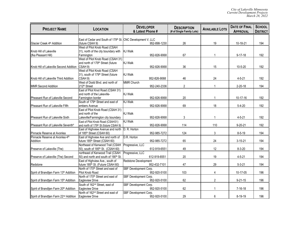| <b>PROJECT NAME</b>                                | <b>LOCATION</b>                                                                            | <b>DEVELOPER</b><br>& Latest Phone #  | <b>DESCRIPTION</b><br>(# of Single Family Lots) | <b>AVAILABLE LOTS</b> | <b>DATE OF FINAL</b><br><b>APPROVAL</b> | <b>SCHOOL</b><br><b>DISTRICT</b> |
|----------------------------------------------------|--------------------------------------------------------------------------------------------|---------------------------------------|-------------------------------------------------|-----------------------|-----------------------------------------|----------------------------------|
|                                                    |                                                                                            |                                       |                                                 |                       |                                         |                                  |
| Glacier Creek 4th Addition                         | East of Cedar and South of 179 <sup>th</sup> St. CNC Development V, LLC<br>(future CSAH 9) | 952-898-1230                          | 26                                              | 19                    | 10-18-21                                | 194                              |
|                                                    | West of Pilot Knob Road (CSAH                                                              |                                       |                                                 |                       |                                         |                                  |
| Knob Hill of Lakeville                             | 31), north of the city boundary with                                                       | <b>KJ Walk</b>                        |                                                 |                       |                                         |                                  |
| (fka Pleasant Hill)                                | Farmington                                                                                 | 952-826-9068                          | 67                                              | $\mathbf{1}$          | $9 - 17 - 18$                           | 192                              |
|                                                    | West of Pilot Knob Road (CSAH 31)                                                          |                                       |                                                 |                       |                                         |                                  |
|                                                    | and north of 179 <sup>th</sup> Street (future                                              | <b>KJ Walk</b>                        |                                                 |                       |                                         |                                  |
| Knob Hill of Lakeville Second Addition             | CSAH <sub>9</sub> )                                                                        | 952-826-9068                          | 36                                              | 15                    | 10-5-20                                 | 192                              |
|                                                    | West of Pilot Knob Road (CSAH                                                              |                                       |                                                 |                       |                                         |                                  |
|                                                    | 31), south of 179 <sup>th</sup> Street (future                                             | <b>KJ Walk</b>                        |                                                 |                       |                                         |                                  |
| Knob Hill of Lakeville Third Addition              | CSAH 9)                                                                                    | 952-826-9068                          | 46                                              | 24                    | $4 - 5 - 21$                            | 192                              |
|                                                    | West of Dodd Blvd. and north of                                                            | MMR Church                            |                                                 |                       |                                         |                                  |
| <b>MMR Second Addition</b>                         | 212 <sup>th</sup> Street                                                                   | 952-240-2336                          | $\overline{2}$                                  |                       | $2 - 20 - 18$                           | 194                              |
|                                                    | East of Pilot Knot Road (CSAH 31)                                                          |                                       |                                                 |                       |                                         |                                  |
|                                                    | and north of the Lakeville-                                                                | <b>KJ Walk</b><br>952-826-9068        | 20                                              |                       |                                         | 192                              |
| Pheasant Run of Lakeville Second                   | Farmington border<br>South of 179 <sup>th</sup> Street and east of                         | <b>KJ Walk</b>                        |                                                 |                       | 10-17-16                                |                                  |
| Pheasant Run of Lakeville Fifth                    | embers Avenue                                                                              | 952-826-9068                          | 69                                              | 18                    | $5 - 4 - 20$                            | 192                              |
|                                                    | East of Pilot Knob Road (CSAH 31)                                                          |                                       |                                                 |                       |                                         |                                  |
|                                                    | and north of the                                                                           | <b>KJ Walk</b>                        |                                                 |                       |                                         |                                  |
| Pheasant Run of Lakeville Sixth                    | Lakeville/Farmington city boundary                                                         | 952-826-9068                          | 3                                               | $\overline{1}$        | $4 - 5 - 21$                            | 192                              |
|                                                    | East of Pilot Knob Road (CSAH31)                                                           | <b>KJ Walk</b>                        |                                                 |                       |                                         |                                  |
| Pheasant Run of Lakeville Seventh*                 | and north of 179th St (future CSAH 9)                                                      | 952-826-9068                          | 114                                             | 110                   | $9 - 20 - 21$                           | 192                              |
|                                                    | East of Highview Avenue and north                                                          | D. R. Horton                          |                                                 |                       |                                         |                                  |
| Pinnacle Reserve at Avonlea                        | of 185th Street (CSAH 60)                                                                  | 952-985-7272                          | 124                                             | 3                     | $8 - 5 - 19$                            | 194                              |
| Pinnacle Reserve at Avonlea 4th                    | East of Highview Ave and north of                                                          | D.R. Horton                           |                                                 |                       |                                         |                                  |
| Addition                                           | future 185 <sup>th</sup> Street (CSAH 60)                                                  | 952-985-7272                          | 65                                              | 24                    | $3 - 15 - 21$                           | 194                              |
|                                                    | Northeast of Kenwood Trail (CSAH                                                           | Progressive, LLC                      |                                                 |                       |                                         |                                  |
| Preserve of Lakeville (The)                        | 50), south of 185 <sup>th</sup> St. (CSAH 60)                                              | 612-919-6551                          | 49                                              | 12                    | $8 - 3 - 20$                            | 194                              |
|                                                    | northeast of Kenwood Trail (CSAH                                                           | Progressive, LLC                      |                                                 |                       |                                         |                                  |
| Preserve of Lakeville (The) Second                 | 50) and north and south of 190 <sup>th</sup> St.                                           | 612-919-6551                          | 20                                              | 19                    | $4 - 5 - 21$                            | 194                              |
|                                                    | East of Highview Ave., south of                                                            | Redstone Development                  |                                                 |                       |                                         |                                  |
| Redstone                                           | future 185 <sup>th</sup> St. (Future CSAH 60)                                              | 952-432-7101                          | 47                                              | 29                    | $5 - 3 - 21$                            | 194                              |
|                                                    | North of 170 <sup>th</sup> Street and east of                                              | SBF Development Corp.                 | 103                                             |                       |                                         |                                  |
| Spirit of Brandtjen Farm 13th Addition             | Pilot Knob Road                                                                            | 952-920-5100                          |                                                 | 4                     | 10-17-05                                | 196                              |
| Spirit of Brandtjen Farm 15th Addition             | North of 170 <sup>th</sup> Street and east of<br>Eagleview Drive                           | SBF Development Corp.<br>952-920-5100 | 62                                              | $\overline{2}$        | $9 - 21 - 15$                           | 196                              |
|                                                    |                                                                                            |                                       |                                                 |                       |                                         |                                  |
| Spirit of Brandtjen Farm 20th Addition             | South of 162 <sup>nd</sup> Street, east of<br>Eagleview Drive                              | SBF Development Corp.<br>952-920-5100 | 62                                              | $\overline{1}$        | $7 - 16 - 18$                           | 196                              |
|                                                    | North of 162 <sup>nd</sup> Street and east of                                              | SBF Development Corp.                 |                                                 |                       |                                         |                                  |
| Spirit of Brandtjen Farm 22 <sup>nd</sup> Addition | Eagleview Drive                                                                            | 952-920-5100                          | 29                                              | 6                     | $8 - 19 - 19$                           | 196                              |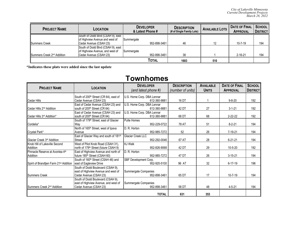| <b>PROJECT NAME</b>                    | <b>LOCATION</b>                   | <b>DEVELOPER</b><br>& Latest Phone # | <b>DESCRIPTION</b><br>(# of Single Family Lots) | <b>AVAILABLE LOTS</b> | <b>DATE OF FINAL</b><br><b>APPROVAL</b> | <b>SCHOOL</b><br><b>DISTRICT</b> |
|----------------------------------------|-----------------------------------|--------------------------------------|-------------------------------------------------|-----------------------|-----------------------------------------|----------------------------------|
|                                        | South of Dodd Blvd (CSAH 9), east |                                      |                                                 |                       |                                         |                                  |
|                                        | of Highview Avenue and west of    | Summergate                           |                                                 |                       |                                         |                                  |
| Summers Creek                          | Cedar Avenue (CSAH 23)            | 952-898-3461                         | 46                                              | 12                    | $10 - 7 - 19$                           | 194                              |
|                                        | South of Dodd Blvd (CSAH 9), east |                                      |                                                 |                       |                                         |                                  |
|                                        | of Highview Avenue, and west of   | Summergate                           |                                                 |                       |                                         |                                  |
| Summers Creek 2 <sup>nd</sup> Addition | Cedar Avenue (CSAH 23)            | 952-898-3461                         | 38                                              |                       | $2 - 16 - 21$                           | 194                              |
|                                        |                                   | Total                                | 1683                                            | 510                   |                                         |                                  |

**\*Indicates these plats were added since the last update**

#### **Townhomes**

| <b>PROJECT NAME</b>                                |                                                                                                                                                                                                                  | <b>DESCRIPTION</b>                                                                                                                                                                    | <b>AVAILABLE</b>                  | <b>DATE OF FINAL</b>      | <b>SCHOOL</b>   |
|----------------------------------------------------|------------------------------------------------------------------------------------------------------------------------------------------------------------------------------------------------------------------|---------------------------------------------------------------------------------------------------------------------------------------------------------------------------------------|-----------------------------------|---------------------------|-----------------|
|                                                    |                                                                                                                                                                                                                  |                                                                                                                                                                                       |                                   | <b>APPROVAL</b>           | <b>DISTRICT</b> |
|                                                    |                                                                                                                                                                                                                  |                                                                                                                                                                                       |                                   |                           |                 |
|                                                    |                                                                                                                                                                                                                  |                                                                                                                                                                                       |                                   |                           | 192             |
|                                                    |                                                                                                                                                                                                                  |                                                                                                                                                                                       |                                   |                           |                 |
| south of 200 <sup>th</sup> Street (CR 64)          | 612-360-9881                                                                                                                                                                                                     | 42 DT                                                                                                                                                                                 | 27                                | $3 - 1 - 21$              | 192             |
|                                                    | U.S. Home Corp. DBA Lennar                                                                                                                                                                                       |                                                                                                                                                                                       |                                   |                           |                 |
| south of 200 <sup>th</sup> Street (CR 64)          | 612-360-9881                                                                                                                                                                                                     | 68 DT                                                                                                                                                                                 | 68                                | $2 - 22 - 22$             | 192             |
| South of 179 <sup>th</sup> Street, east of Glacier | Pulte Homes                                                                                                                                                                                                      |                                                                                                                                                                                       |                                   |                           |                 |
| Wav                                                | 952-229-0722                                                                                                                                                                                                     | 78 AT                                                                                                                                                                                 | 51                                | $8 - 2 - 21$              | 194             |
| North of 165 <sup>th</sup> Street, west of Ipava   | D. R. Horton                                                                                                                                                                                                     |                                                                                                                                                                                       |                                   |                           |                 |
| Avenue                                             | 952-985-7272                                                                                                                                                                                                     | 52                                                                                                                                                                                    | 26                                | 7-19-21                   | 194             |
| East of Glacier Way and south of 181st             | Glacier Creek LLC                                                                                                                                                                                                |                                                                                                                                                                                       |                                   |                           |                 |
| <b>Street</b>                                      | 952-292-0046                                                                                                                                                                                                     | 67 AT                                                                                                                                                                                 | 28                                | $6 - 21 - 21$             | 194             |
| West of Pilot Knob Road (CSAH 31),                 | <b>KJ Walk</b>                                                                                                                                                                                                   |                                                                                                                                                                                       |                                   |                           |                 |
| north of 179 <sup>th</sup> Street (future CSAH 9)  | 952-826-9068                                                                                                                                                                                                     | 42 DT                                                                                                                                                                                 | 29                                | $10 - 5 - 20$             | 192             |
| East of Highview Avenue and north of               | D. R. Horton                                                                                                                                                                                                     |                                                                                                                                                                                       |                                   |                           |                 |
| future 185 <sup>th</sup> Street (CSAH 60)          | 952-985-7272                                                                                                                                                                                                     | 47 DT                                                                                                                                                                                 |                                   | $3 - 15 - 21$             | 194             |
| South of 160 <sup>th</sup> Street (CSAH 46) and    |                                                                                                                                                                                                                  |                                                                                                                                                                                       |                                   |                           |                 |
| east of Eagleview Drive                            | 952-920-5100                                                                                                                                                                                                     | 96 AT                                                                                                                                                                                 | 32                                | $6 - 17 - 19$             | 196             |
|                                                    |                                                                                                                                                                                                                  |                                                                                                                                                                                       |                                   |                           |                 |
| east of Highview Avenue and west of                |                                                                                                                                                                                                                  |                                                                                                                                                                                       |                                   |                           |                 |
| Cedar Avenue (CSAH 23)                             | 952-898-3461                                                                                                                                                                                                     | 65 DT                                                                                                                                                                                 | 17                                | $10 - 7 - 19$             | 194             |
| South of Dodd Boulevard (CSAH 9),                  |                                                                                                                                                                                                                  |                                                                                                                                                                                       |                                   |                           |                 |
| east of Highview Avenue, and west of               | Summergate Companies                                                                                                                                                                                             |                                                                                                                                                                                       |                                   |                           |                 |
| Cedar Avenue (CSAH 23)                             | 952-898-3461                                                                                                                                                                                                     | 58 DT                                                                                                                                                                                 | 48                                | $4 - 5 - 21$              | 194             |
|                                                    |                                                                                                                                                                                                                  |                                                                                                                                                                                       |                                   |                           |                 |
|                                                    | <b>LOCATION</b><br>South of 200 <sup>th</sup> Street (CR 64), east of<br>Cedar Avenue (CSAH 23)<br>East of Cedar Avenue (CSAH 23) and<br>East of Cedar Avenue (CSAH 23) and<br>South of Dodd Boulevard (CSAH 9), | <b>DEVELOPER</b><br>(and latest phone #)<br>U.S. Home Corp. DBA Lennar<br>612-360-9881<br>U.S. Home Corp. DBA Lennar<br>SBF Development Corp.<br>Summergate Companies<br><b>TOTAL</b> | (number of units)<br>16 DT<br>631 | <b>UNITS</b><br>26<br>353 | $9 - 8 - 20$    |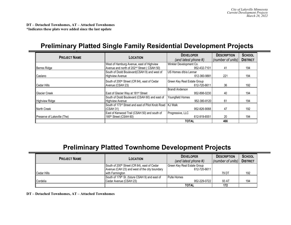**DT – Detached Townhomes, AT – Attached Townhomes \*Indicates these plats were added since the last update**

#### **Preliminary Platted Single Family Residential Development Projects**

| <b>PROJECT NAME</b>                | <b>LOCATION</b>                                           | <b>DEVELOPER</b>            | <b>DESCRIPTION</b> | <b>SCHOOL</b>   |
|------------------------------------|-----------------------------------------------------------|-----------------------------|--------------------|-----------------|
|                                    |                                                           | (and latest phone #)        | (number of units)  | <b>DISTRICT</b> |
|                                    | West of Hamburg Avenue, east of Highview                  | Winkler Development Co.     |                    |                 |
| <b>Berres Ridge</b>                | Avenue and north of 202 <sup>nd</sup> Street (CSAH 50)    | 952-432-7101                | 41                 | 194             |
|                                    | South of Dodd Boulevard (CSAH 9) and west of              | US Homes d/b/a Lennar       |                    |                 |
| Caslano                            | <b>Highview Avenue</b>                                    | 612-360-9881                | 221                | 194             |
|                                    | South of 200 <sup>th</sup> Street (CR 64), east of Cedar  | Green Key Real Estate Group |                    |                 |
| Cedar Hills                        | Avenue (CSAH 23)                                          | 612-720-6611                | 36                 | 192             |
|                                    |                                                           | <b>Brandl Anderson</b>      |                    |                 |
| <b>Glacier Creek</b>               | East of Glacier Way at 181 <sup>st</sup> Street           | 952-898-0230                | 40                 | 194             |
|                                    | South of Dodd Boulevard (CSAH 60) and east of             | Youngfield Homes            |                    |                 |
| Highview Ridge                     | <b>Highview Avenue</b>                                    | 952-380-8120                | 61                 | 194             |
|                                    | South of 173rd Street and east of Pilot Knob Road KJ Walk |                             |                    |                 |
| North Creek                        | (CSAH 31)                                                 | 952-826-9068                | 47                 | 192             |
|                                    | East of Kenwood Trail (CSAH 50) and south of              | Progressive, LLC            |                    |                 |
| <b>Preserve of Lakeville (The)</b> | 185 <sup>th</sup> Street (CSAH 60)                        | 612-919-6551                | 20                 | 194             |
|                                    |                                                           | <b>TOTAL</b>                | 466                |                 |

#### **Preliminary Platted Townhome Development Projects**

| <b>PROJECT NAME</b>  | <b>LOCATION</b>                                            | <b>DEVELOPER</b>            | <b>DESCRIPTION</b> | <b>SCHOOL</b>   |
|----------------------|------------------------------------------------------------|-----------------------------|--------------------|-----------------|
|                      |                                                            | (and latest phone #)        | (number of units)  | <b>DISTRICT</b> |
|                      | South of 200 <sup>th</sup> Street (CR 64), east of Cedar   | Green Key Real Estate Group |                    |                 |
|                      | Avenue (CAH 23) and west of the city boundary              | 612-720-6611                |                    |                 |
| <b>I</b> Cedar Hills | with Farmington                                            |                             | 79 DT              | 192             |
|                      | South of 179 <sup>th</sup> St. (future CSAH 9) and east of | <b>Pulte Homes</b>          |                    |                 |
| <b>Cordelia</b>      | Cedar Avenue (CSAH 23)                                     | 952-229-0722                | 93 AT              | 194             |
|                      |                                                            | <b>TOTAL</b>                | 172                |                 |

**DT – Detached Townhomes, AT – Attached Townhomes**